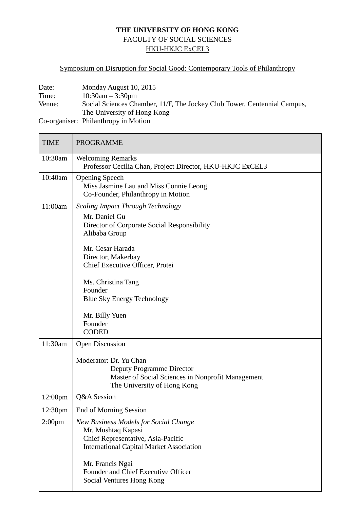## **THE UNIVERSITY OF HONG KONG** FACULTY OF SOCIAL SCIENCES HKU-HKJC ExCEL3

## Symposium on Disruption for Social Good: Contemporary Tools of Philanthropy

| Date:  | Monday August 10, 2015                                                   |
|--------|--------------------------------------------------------------------------|
| Time:  | $10:30$ am $-3:30$ pm                                                    |
| Venue: | Social Sciences Chamber, 11/F, The Jockey Club Tower, Centennial Campus, |
|        | The University of Hong Kong                                              |
|        | Co-organiser: Philanthropy in Motion                                     |

TIME PROGRAMME 10:30am | Welcoming Remarks Professor Cecilia Chan, Project Director, HKU-HKJC ExCEL3 10:40am Opening Speech Miss Jasmine Lau and Miss Connie Leong Co-Founder, Philanthropy in Motion 11:00am *Scaling Impact Through Technology* Mr. Daniel Gu Director of Corporate Social Responsibility Alibaba Group Mr. Cesar Harada Director, Makerbay Chief Executive Officer, Protei Ms. Christina Tang Founder Blue Sky Energy Technology Mr. Billy Yuen Founder CODED

|                     | <b>Blue Sky Energy Technology</b>                                                                                                                           |
|---------------------|-------------------------------------------------------------------------------------------------------------------------------------------------------------|
|                     | Mr. Billy Yuen<br>Founder<br><b>CODED</b>                                                                                                                   |
| 11:30am             | <b>Open Discussion</b>                                                                                                                                      |
|                     | Moderator: Dr. Yu Chan<br>Deputy Programme Director<br>Master of Social Sciences in Nonprofit Management<br>The University of Hong Kong                     |
| 12:00 <sub>pm</sub> | Q&A Session                                                                                                                                                 |
| 12:30 <sub>pm</sub> | End of Morning Session                                                                                                                                      |
| 2:00 <sub>pm</sub>  | <b>New Business Models for Social Change</b><br>Mr. Mushtaq Kapasi<br>Chief Representative, Asia-Pacific<br><b>International Capital Market Association</b> |
|                     | Mr. Francis Ngai<br>Founder and Chief Executive Officer<br>Social Ventures Hong Kong                                                                        |